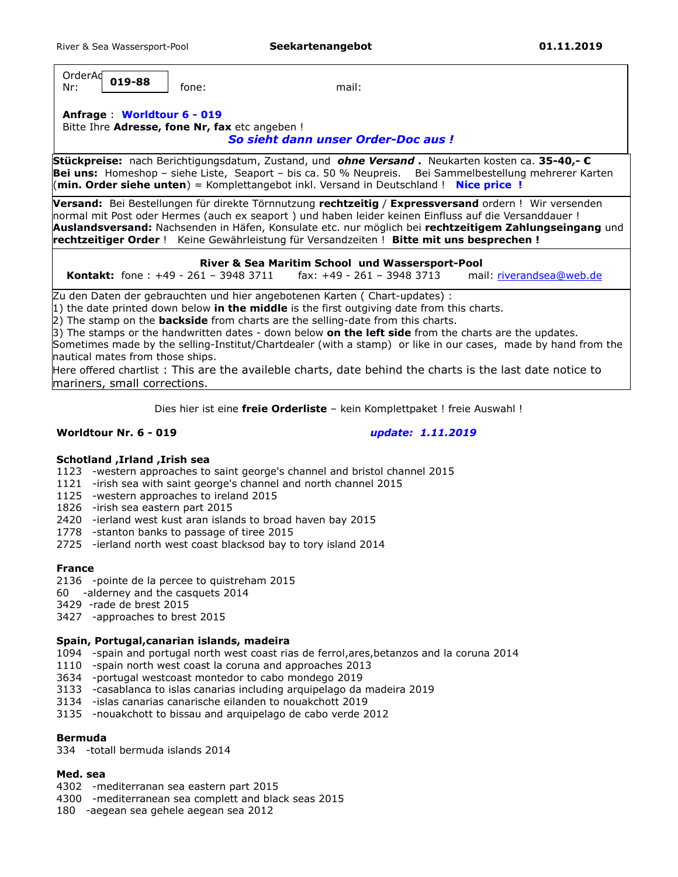OrderAd Nr: fone: mail: **019-88**

# **Anfrage** : **Worldtour 6 - 019**

Bitte Ihre **Adresse, fone Nr, fax** etc angeben ! *So sieht dann unser Order-Doc aus !* 

**Stückpreise:** nach Berichtigungsdatum, Zustand, und *ohne Versand* **.** Neukarten kosten ca. **35-40,- € Bei uns:** Homeshop – siehe Liste, Seaport – bis ca. 50 % Neupreis. Bei Sammelbestellung mehrerer Karten (**min. Order siehe unten**) = Komplettangebot inkl. Versand in Deutschland ! **Nice price !**

**Versand:** Bei Bestellungen für direkte Törnnutzung **rechtzeitig** / **Expressversand** ordern ! Wir versenden normal mit Post oder Hermes (auch ex seaport ) und haben leider keinen Einfluss auf die Versanddauer ! **Auslandsversand:** Nachsenden in Häfen, Konsulate etc. nur möglich bei **rechtzeitigem Zahlungseingang** und **rechtzeitiger Order** ! Keine Gewährleistung für Versandzeiten ! **Bitte mit uns besprechen !**

#### **River & Sea Maritim School und Wassersport-Pool**

 **Kontakt:** fone : +49 - 261 – 3948 3711 fax: +49 - 261 – 3948 3713 mail: riverandsea@web.de

Zu den Daten der gebrauchten und hier angebotenen Karten ( Chart-updates) :

1) the date printed down below **in the middle** is the first outgiving date from this charts.

2) The stamp on the **backside** from charts are the selling-date from this charts.

3) The stamps or the handwritten dates - down below **on the left side** from the charts are the updates.

Sometimes made by the selling-Institut/Chartdealer (with a stamp) or like in our cases, made by hand from the nautical mates from those ships.

Here offered chartlist : This are the availeble charts, date behind the charts is the last date notice to mariners, small corrections.

Dies hier ist eine **freie Orderliste** – kein Komplettpaket ! freie Auswahl !

## **Worldtour Nr. 6 - 019** *update: 1.11.2019*

## **Schotland ,Irland ,Irish sea**

- 1123 -western approaches to saint george's channel and bristol channel 2015
- 1121 -irish sea with saint george's channel and north channel 2015
- 1125 -western approaches to ireland 2015
- 1826 -irish sea eastern part 2015
- 2420 -ierland west kust aran islands to broad haven bay 2015
- 1778 -stanton banks to passage of tiree 2015
- 2725 -ierland north west coast blacksod bay to tory island 2014

## **France**

- 2136 -pointe de la percee to quistreham 2015
- 60 -alderney and the casquets 2014
- 3429 -rade de brest 2015
- 3427 -approaches to brest 2015

## **Spain, Portugal,canarian islands, madeira**

- 1094 -spain and portugal north west coast rias de ferrol,ares,betanzos and la coruna 2014
- 1110 -spain north west coast la coruna and approaches 2013
- 3634 -portugal westcoast montedor to cabo mondego 2019
- 3133 -casablanca to islas canarias including arquipelago da madeira 2019
- 3134 -islas canarias canarische eilanden to nouakchott 2019
- 3135 -nouakchott to bissau and arquipelago de cabo verde 2012

## **Bermuda**

334 -totall bermuda islands 2014

## **Med. sea**

- 4302 -mediterranan sea eastern part 2015
- 4300 -mediterranean sea complett and black seas 2015
- 180 -aegean sea gehele aegean sea 2012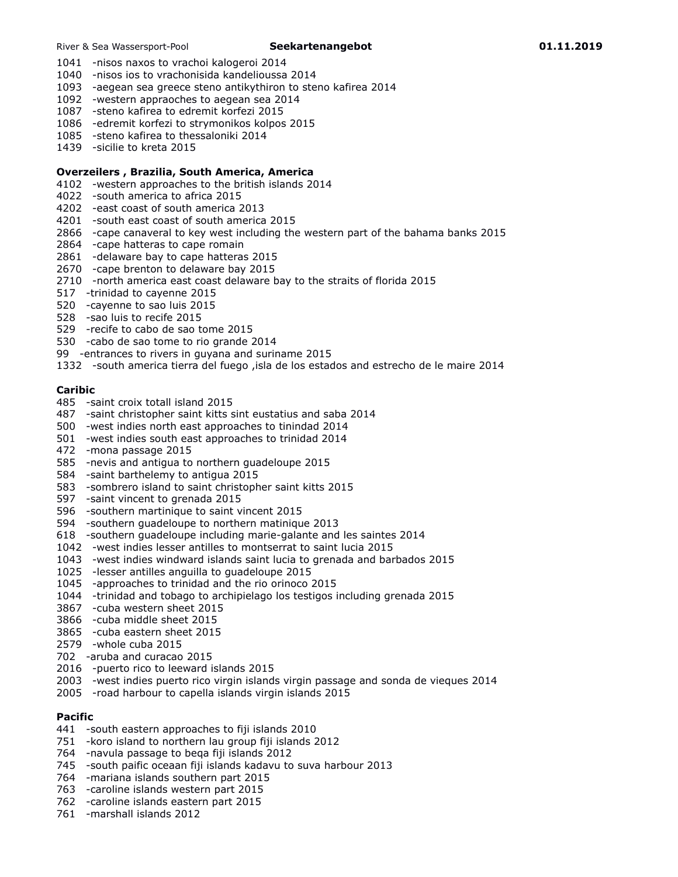- 1041 -nisos naxos to vrachoi kalogeroi 2014
- 1040 -nisos ios to vrachonisida kandelioussa 2014
- 1093 -aegean sea greece steno antikythiron to steno kafirea 2014
- 1092 -western appraoches to aegean sea 2014
- 1087 -steno kafirea to edremit korfezi 2015
- 1086 -edremit korfezi to strymonikos kolpos 2015
- 1085 -steno kafirea to thessaloniki 2014
- 1439 -sicilie to kreta 2015

#### **Overzeilers , Brazilia, South America, America**

- 4102 -western approaches to the british islands 2014
- 4022 -south america to africa 2015
- 4202 -east coast of south america 2013
- 4201 -south east coast of south america 2015
- 2866 -cape canaveral to key west including the western part of the bahama banks 2015
- 2864 -cape hatteras to cape romain
- 2861 -delaware bay to cape hatteras 2015
- 2670 -cape brenton to delaware bay 2015
- 2710 -north america east coast delaware bay to the straits of florida 2015
- 517 -trinidad to cayenne 2015
- 520 -cayenne to sao luis 2015
- 528 -sao luis to recife 2015
- 529 -recife to cabo de sao tome 2015
- 530 -cabo de sao tome to rio grande 2014
- 99 -entrances to rivers in guyana and suriname 2015
- 1332 -south america tierra del fuego ,isla de los estados and estrecho de le maire 2014

#### **Caribic**

- 485 -saint croix totall island 2015
- 487 -saint christopher saint kitts sint eustatius and saba 2014
- 500 -west indies north east approaches to tinindad 2014
- 501 -west indies south east approaches to trinidad 2014
- 472 -mona passage 2015
- 585 -nevis and antigua to northern guadeloupe 2015
- 584 -saint barthelemy to antigua 2015
- 583 -sombrero island to saint christopher saint kitts 2015
- 597 -saint vincent to grenada 2015
- 596 -southern martinique to saint vincent 2015
- 594 -southern guadeloupe to northern matinique 2013
- 618 -southern guadeloupe including marie-galante and les saintes 2014
- 1042 -west indies lesser antilles to montserrat to saint lucia 2015
- 1043 -west indies windward islands saint lucia to grenada and barbados 2015
- 1025 -lesser antilles anguilla to guadeloupe 2015
- 1045 -approaches to trinidad and the rio orinoco 2015
- 1044 -trinidad and tobago to archipielago los testigos including grenada 2015
- 3867 -cuba western sheet 2015
- 3866 -cuba middle sheet 2015
- 3865 -cuba eastern sheet 2015
- 2579 -whole cuba 2015
- 702 -aruba and curacao 2015
- 2016 -puerto rico to leeward islands 2015
- 2003 -west indies puerto rico virgin islands virgin passage and sonda de vieques 2014
- 2005 -road harbour to capella islands virgin islands 2015

#### **Pacific**

- 441 -south eastern approaches to fiji islands 2010
- 751 -koro island to northern lau group fiji islands 2012
- 764 -navula passage to beqa fiji islands 2012
- 745 -south paific oceaan fiji islands kadavu to suva harbour 2013
- 764 -mariana islands southern part 2015
- 763 -caroline islands western part 2015
- 762 -caroline islands eastern part 2015
- 761 -marshall islands 2012